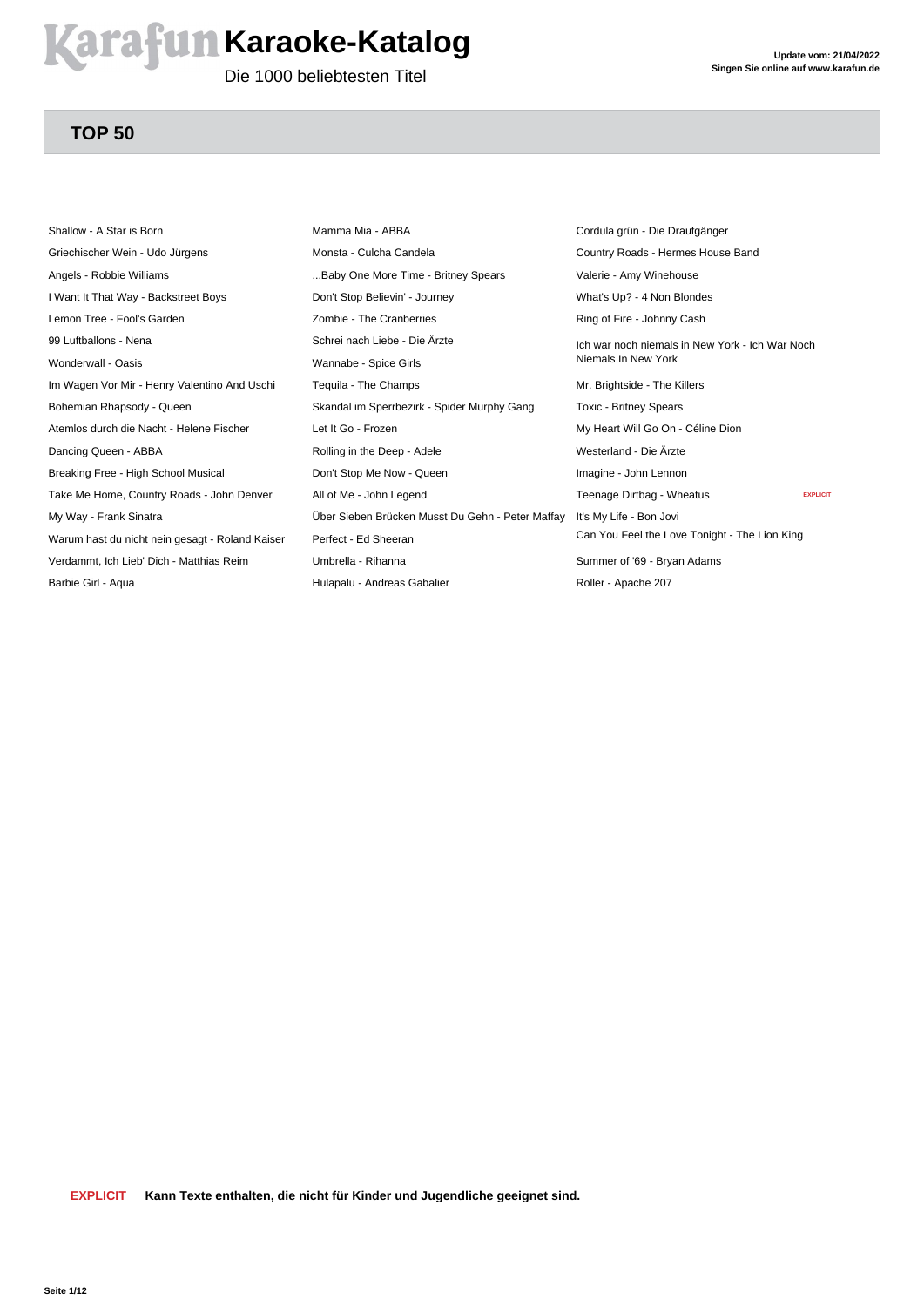### **Arafun Karaoke-Katalog**

Die 1000 beliebtesten Titel

#### **TOP 50**

Shallow - A Star is Born Griechischer Wein - Udo Jürgens Angels - Robbie Williams I Want It That Way - Backstreet Boys Lemon Tree - Fool's Garden 99 Luftballons - Nena Wonderwall - Oasis Im Wagen Vor Mir - Henry Valentino And Uschi Bohemian Rhapsody - Queen Atemlos durch die Nacht - Helene Fischer Dancing Queen - ABBA Breaking Free - High School Musical Take Me Home, Country Roads - John Denver My Way - Frank Sinatra Warum hast du nicht nein gesagt - Roland Kaiser Verdammt, Ich Lieb' Dich - Matthias Reim Barbie Girl - Aqua

Mamma Mia - ABBA Monsta - Culcha Candela ...Baby One More Time - Britney Spears Don't Stop Believin' - Journey Zombie - The Cranberries Schrei nach Liebe - Die Ärzte Wannabe - Spice Girls Tequila - The Champs Skandal im Sperrbezirk - Spider Murphy Gang Let It Go - Frozen Rolling in the Deep - Adele Don't Stop Me Now - Queen All of Me - John Legend Über Sieben Brücken Musst Du Gehn - Peter Maffay Perfect - Ed Sheeran Umbrella - Rihanna Hulapalu - Andreas Gabalier

Cordula grün - Die Draufgänger Country Roads - Hermes House Band Valerie - Amy Winehouse What's Up? - 4 Non Blondes Ring of Fire - Johnny Cash Ich war noch niemals in New York - Ich War Noch Niemals In New York Mr. Brightside - The Killers Toxic - Britney Spears My Heart Will Go On - Céline Dion Westerland - Die Ärzte Imagine - John Lennon **Teenage Dirtbag - Wheatus <b>EXPLICIT** It's My Life - Bon Jovi Can You Feel the Love Tonight - The Lion King Summer of '69 - Bryan Adams Roller - Apache 207

**EXPLICIT Kann Texte enthalten, die nicht für Kinder und Jugendliche geeignet sind.**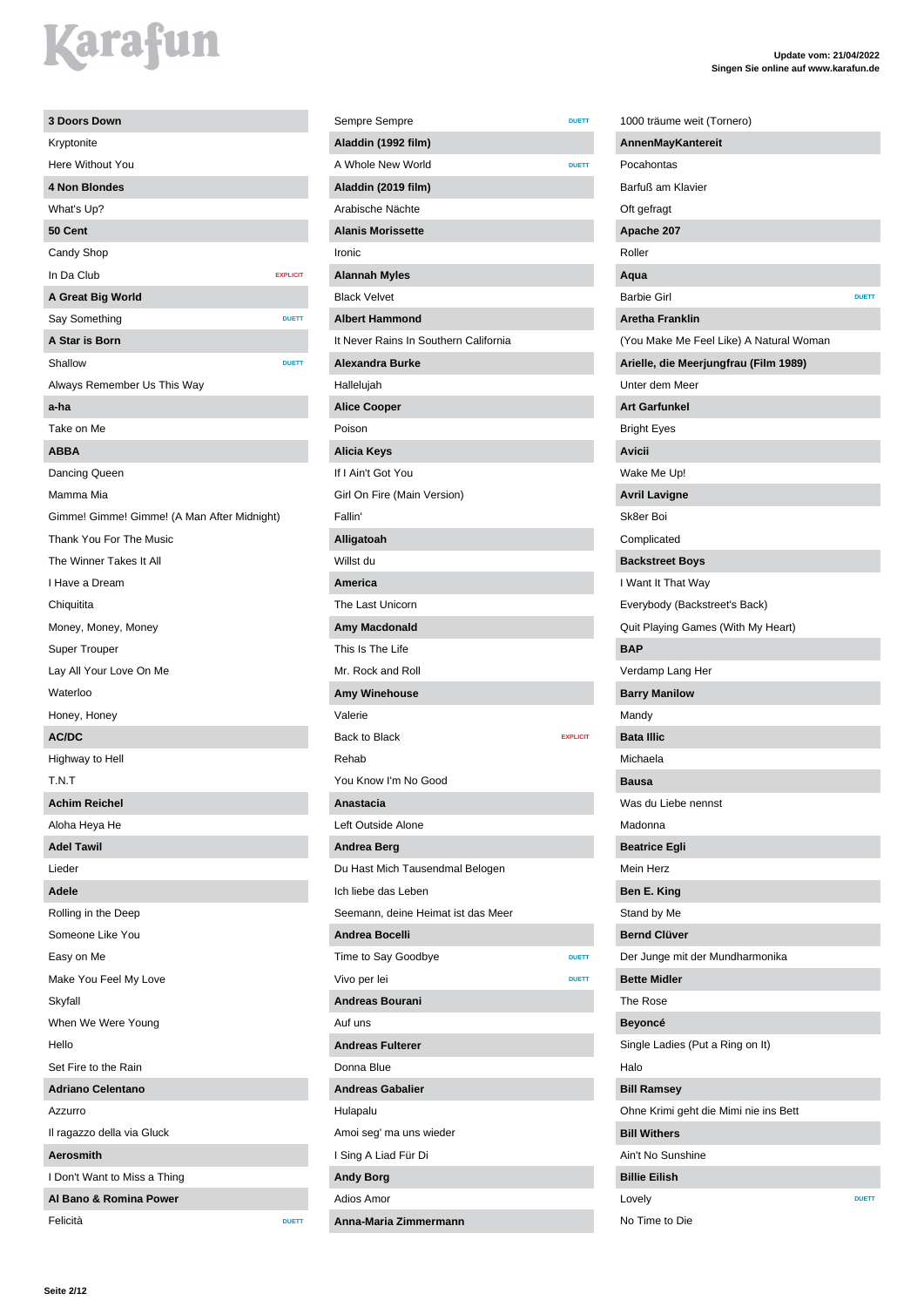| 3 Doors Down                                |                 |
|---------------------------------------------|-----------------|
| Kryptonite                                  |                 |
| Here Without You                            |                 |
| 4 Non Blondes                               |                 |
| What's Up?                                  |                 |
| 50 Cent                                     |                 |
| Candy Shop                                  |                 |
| In Da Club                                  | <b>EXPLICIT</b> |
| A Great Big World                           |                 |
| Say Something                               | <b>DUETT</b>    |
| A Star is Born                              |                 |
| Shallow                                     | <b>DUETT</b>    |
| Always Remember Us This Way                 |                 |
| a-ha                                        |                 |
| Take on Me                                  |                 |
| <b>ABBA</b>                                 |                 |
| Dancing Queen                               |                 |
| Mamma Mia                                   |                 |
| Gimme! Gimme! Gimme! (A Man After Midnight) |                 |
| Thank You For The Music                     |                 |
| The Winner Takes It All                     |                 |
| I Have a Dream                              |                 |
| Chiquitita                                  |                 |
| Money, Money, Money                         |                 |
| Super Trouper                               |                 |
| Lay All Your Love On Me                     |                 |
| Waterloo                                    |                 |
| Honey, Honey                                |                 |
| AC/DC                                       |                 |
| Highway to Hell                             |                 |
| T.N.T                                       |                 |
| <b>Achim Reichel</b>                        |                 |
| Aloha Heya He                               |                 |
| <b>Adel Tawil</b>                           |                 |
| Lieder                                      |                 |
| <b>Adele</b>                                |                 |
| Rolling in the Deep                         |                 |
| Someone Like You                            |                 |
| Easy on Me                                  |                 |
| Make You Feel My Love                       |                 |
| Skyfall                                     |                 |
| When We Were Young                          |                 |
| Hello                                       |                 |
| Set Fire to the Rain                        |                 |
| <b>Adriano Celentano</b>                    |                 |
| Azzurro                                     |                 |
| Il ragazzo della via Gluck                  |                 |
| <b>Aerosmith</b>                            |                 |
| I Don't Want to Miss a Thing                |                 |
| Al Bano & Romina Power                      |                 |
| Felicità                                    | <b>DUETT</b>    |

| Sempre Sempre                         | <b>DUETT</b>    |
|---------------------------------------|-----------------|
| Aladdin (1992 film)                   |                 |
| A Whole New World                     | <b>DUETT</b>    |
| Aladdin (2019 film)                   |                 |
| Arabische Nächte                      |                 |
| <b>Alanis Morissette</b>              |                 |
| Ironic                                |                 |
| <b>Alannah Myles</b>                  |                 |
| <b>Black Velvet</b>                   |                 |
| <b>Albert Hammond</b>                 |                 |
| It Never Rains In Southern California |                 |
| <b>Alexandra Burke</b>                |                 |
| Hallelujah                            |                 |
| <b>Alice Cooper</b>                   |                 |
| Poison                                |                 |
| <b>Alicia Keys</b>                    |                 |
| If I Ain't Got You                    |                 |
| Girl On Fire (Main Version)           |                 |
| Fallin'                               |                 |
| Alligatoah                            |                 |
| Willst du                             |                 |
| <b>America</b>                        |                 |
| The Last Unicorn                      |                 |
| Amy Macdonald                         |                 |
| This Is The Life                      |                 |
| Mr. Rock and Roll                     |                 |
|                                       |                 |
| Amy Winehouse                         |                 |
| Valerie                               |                 |
| <b>Back to Black</b>                  | <b>EXPLICIT</b> |
| Rehab                                 |                 |
| You Know I'm No Good                  |                 |
| Anastacia                             |                 |
| Left Outside Alone                    |                 |
| Andrea Berg                           |                 |
| Du Hast Mich Tausendmal Belogen       |                 |
| Ich liebe das Leben                   |                 |
| Seemann, deine Heimat ist das Meer    |                 |
| Andrea Bocelli                        |                 |
| Time to Say Goodbye                   | <b>DUETT</b>    |
| Vivo per lei                          | <b>DUETT</b>    |
| <b>Andreas Bourani</b>                |                 |
| Auf uns                               |                 |
| <b>Andreas Fulterer</b>               |                 |
| Donna Blue                            |                 |
| <b>Andreas Gabalier</b>               |                 |
| Hulapalu                              |                 |
| Amoi seg' ma uns wieder               |                 |
| I Sing A Liad Für Di                  |                 |
| <b>Andy Borg</b>                      |                 |
| Adios Amor                            |                 |

| 1000 träume weit (Tornero)              |              |
|-----------------------------------------|--------------|
| <b>AnnenMayKantereit</b>                |              |
| Pocahontas                              |              |
| Barfuß am Klavier                       |              |
| Oft gefragt                             |              |
| Apache 207                              |              |
| Roller                                  |              |
| Aqua                                    |              |
| <b>Barbie Girl</b>                      | <b>DUETT</b> |
| <b>Aretha Franklin</b>                  |              |
| (You Make Me Feel Like) A Natural Woman |              |
| Arielle, die Meerjungfrau (Film 1989)   |              |
| Unter dem Meer                          |              |
| <b>Art Garfunkel</b>                    |              |
| <b>Bright Eyes</b>                      |              |
| <b>Avicii</b>                           |              |
| Wake Me Up!                             |              |
| <b>Avril Lavigne</b>                    |              |
| Sk8er Boi                               |              |
|                                         |              |
| Complicated                             |              |
| <b>Backstreet Boys</b>                  |              |
| I Want It That Way                      |              |
| Everybody (Backstreet's Back)           |              |
| Quit Playing Games (With My Heart)      |              |
| <b>BAP</b>                              |              |
| Verdamp Lang Her                        |              |
| <b>Barry Manilow</b>                    |              |
| Mandy                                   |              |
| <b>Bata Illic</b>                       |              |
| Michaela                                |              |
| Bausa                                   |              |
| Was du Liebe nennst                     |              |
| Madonna                                 |              |
| <b>Beatrice Egli</b>                    |              |
| Mein Herz                               |              |
| Ben E. King                             |              |
| Stand by Me                             |              |
| <b>Bernd Clüver</b>                     |              |
| Der Junge mit der Mundharmonika         |              |
| <b>Bette Midler</b>                     |              |
| The Rose                                |              |
| <b>Beyoncé</b>                          |              |
| Single Ladies (Put a Ring on It)        |              |
| Halo                                    |              |
| <b>Bill Ramsey</b>                      |              |
| Ohne Krimi geht die Mimi nie ins Bett   |              |
| <b>Bill Withers</b>                     |              |
| Ain't No Sunshine                       |              |
| <b>Billie Eilish</b>                    |              |
| Lovely                                  | <b>DUETT</b> |
| No Time to Die                          |              |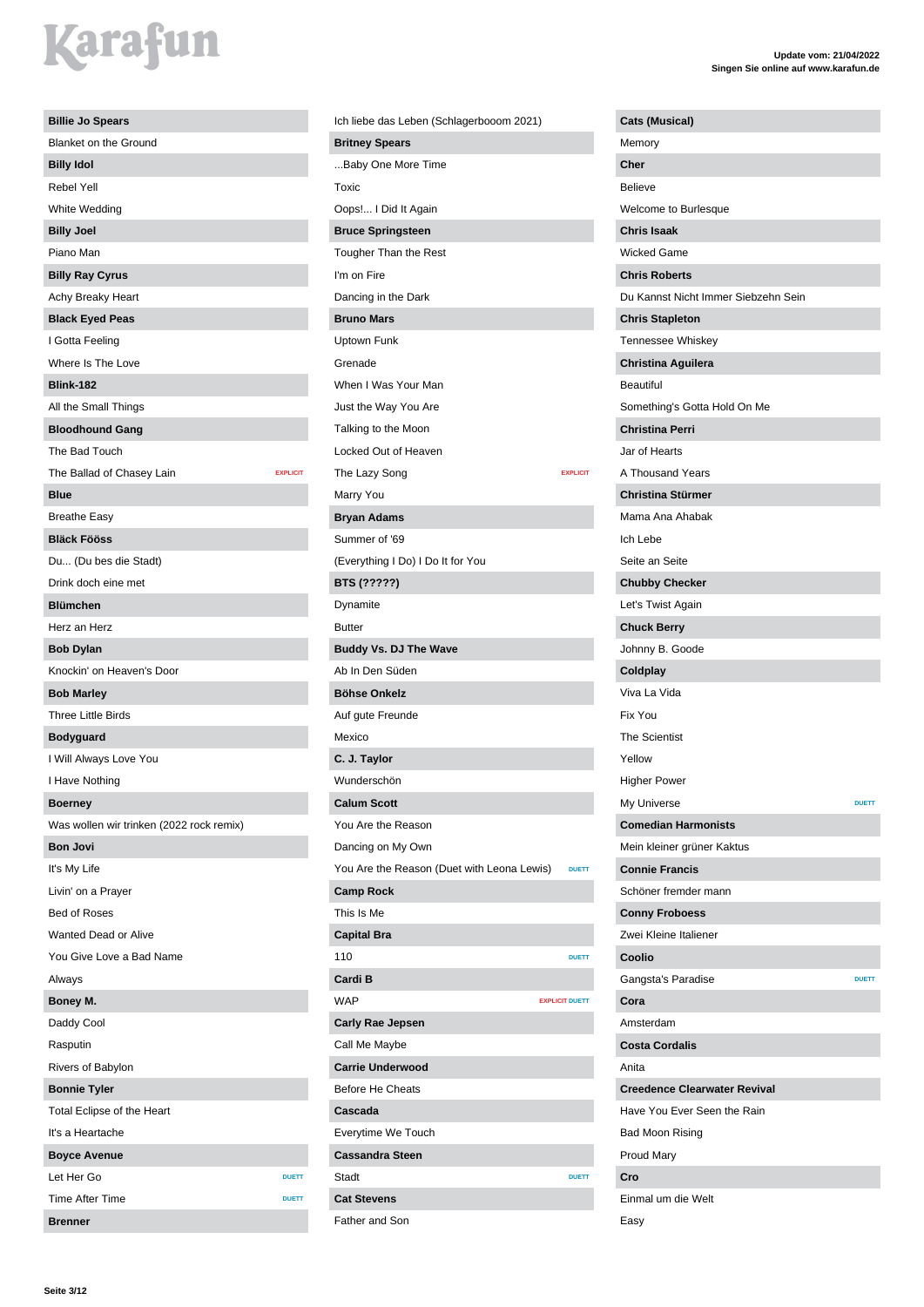| <b>Billie Jo Spears</b>                  |                 |
|------------------------------------------|-----------------|
| Blanket on the Ground                    |                 |
| <b>Billy Idol</b>                        |                 |
| <b>Rebel Yell</b>                        |                 |
| White Wedding                            |                 |
| <b>Billy Joel</b>                        |                 |
| Piano Man                                |                 |
| <b>Billy Ray Cyrus</b>                   |                 |
| Achy Breaky Heart                        |                 |
| <b>Black Eyed Peas</b>                   |                 |
| I Gotta Feeling                          |                 |
| Where Is The Love                        |                 |
| <b>Blink-182</b>                         |                 |
| All the Small Things                     |                 |
| <b>Bloodhound Gang</b>                   |                 |
| The Bad Touch                            |                 |
| The Ballad of Chasey Lain                | <b>EXPLICIT</b> |
| <b>Blue</b>                              |                 |
| <b>Breathe Easy</b>                      |                 |
| <b>Bläck Fööss</b>                       |                 |
| Du (Du bes die Stadt)                    |                 |
| Drink doch eine met                      |                 |
| <b>Blümchen</b>                          |                 |
| Herz an Herz                             |                 |
| <b>Bob Dylan</b>                         |                 |
| Knockin' on Heaven's Door                |                 |
| <b>Bob Marley</b>                        |                 |
| <b>Three Little Birds</b>                |                 |
| <b>Bodyguard</b>                         |                 |
| I Will Always Love You                   |                 |
| I Have Nothing                           |                 |
| <b>Boerney</b>                           |                 |
| Was wollen wir trinken (2022 rock remix) |                 |
| <b>Bon Jovi</b>                          |                 |
| It's My Life                             |                 |
| Livin' on a Prayer                       |                 |
| <b>Bed of Roses</b>                      |                 |
| <b>Wanted Dead or Alive</b>              |                 |
| You Give Love a Bad Name                 |                 |
| Always                                   |                 |
| Boney M.                                 |                 |
| Daddy Cool                               |                 |
| Rasputin                                 |                 |
| Rivers of Babylon                        |                 |
| <b>Bonnie Tyler</b>                      |                 |
| Total Eclipse of the Heart               |                 |
| It's a Heartache                         |                 |
| <b>Boyce Avenue</b>                      |                 |
| Let Her Go                               | <b>DUETT</b>    |
| <b>Time After Time</b>                   | <b>DUETT</b>    |
| <b>Brenner</b>                           |                 |

### Ich liebe das Leben (Schlagerbooom 2021) **Britney Spears** ...Baby One More Time Toxic Oops!... I Did It Again **Bruce Springsteen** Tougher Than the Rest I'm on Fire Dancing in the Dark **Bruno Mars** Uptown Funk Grenade When I Was Your Man Just the Way You Are Talking to the Moon Locked Out of Heaven The Lazy Song **EXPLICIT** Marry You **Bryan Adams** Summer of '69 (Everything I Do) I Do It for You **BTS (?????)** Dynamite Butter **Buddy Vs. DJ The Wave** Ab In Den Süden **Böhse Onkelz** Auf gute Freunde Mexico **C. J. Taylor** Wunderschön **Calum Scott** You Are the Reason Dancing on My Own You Are the Reason (Duet with Leona Lewis) DUETT **Camp Rock** This Is Me **Capital Bra** 110 **DUETT Cardi B EXPLICIT DUETT Carly Rae Jepsen** Call Me Maybe **Carrie Underwood** Before He Cheats **Cascada** Everytime We Touch **Cassandra Steen Stadt DUETT Cat Stevens** Father and Son

| <b>Cats (Musical)</b>               |              |
|-------------------------------------|--------------|
| Memory                              |              |
| Cher                                |              |
| <b>Believe</b>                      |              |
| Welcome to Burlesque                |              |
| <b>Chris Isaak</b>                  |              |
| Wicked Game                         |              |
| <b>Chris Roberts</b>                |              |
| Du Kannst Nicht Immer Siebzehn Sein |              |
| <b>Chris Stapleton</b>              |              |
| Tennessee Whiskey                   |              |
| Christina Aguilera                  |              |
| <b>Beautiful</b>                    |              |
| Something's Gotta Hold On Me        |              |
| <b>Christina Perri</b>              |              |
| Jar of Hearts                       |              |
| A Thousand Years                    |              |
| <b>Christina Stürmer</b>            |              |
| Mama Ana Ahabak                     |              |
| Ich Lebe                            |              |
| Seite an Seite                      |              |
| <b>Chubby Checker</b>               |              |
| Let's Twist Again                   |              |
| <b>Chuck Berry</b>                  |              |
| Johnny B. Goode                     |              |
| Coldplay                            |              |
| Viva La Vida                        |              |
| Fix You                             |              |
| <b>The Scientist</b>                |              |
| Yellow                              |              |
| <b>Higher Power</b>                 |              |
| My Universe                         | <b>DUETT</b> |
| <b>Comedian Harmonists</b>          |              |
| Mein kleiner grüner Kaktus          |              |
| <b>Connie Francis</b>               |              |
|                                     |              |
| Schöner fremder mann                |              |
| <b>Conny Froboess</b>               |              |
| Zwei Kleine Italiener               |              |
| Coolio                              |              |
| Gangsta's Paradise                  | <b>DUETT</b> |
| Cora                                |              |
| Amsterdam                           |              |
| <b>Costa Cordalis</b>               |              |
| Anita                               |              |
| <b>Creedence Clearwater Revival</b> |              |
| Have You Ever Seen the Rain         |              |
| Bad Moon Rising                     |              |
| <b>Proud Mary</b>                   |              |
| Cro                                 |              |
| Einmal um die Welt                  |              |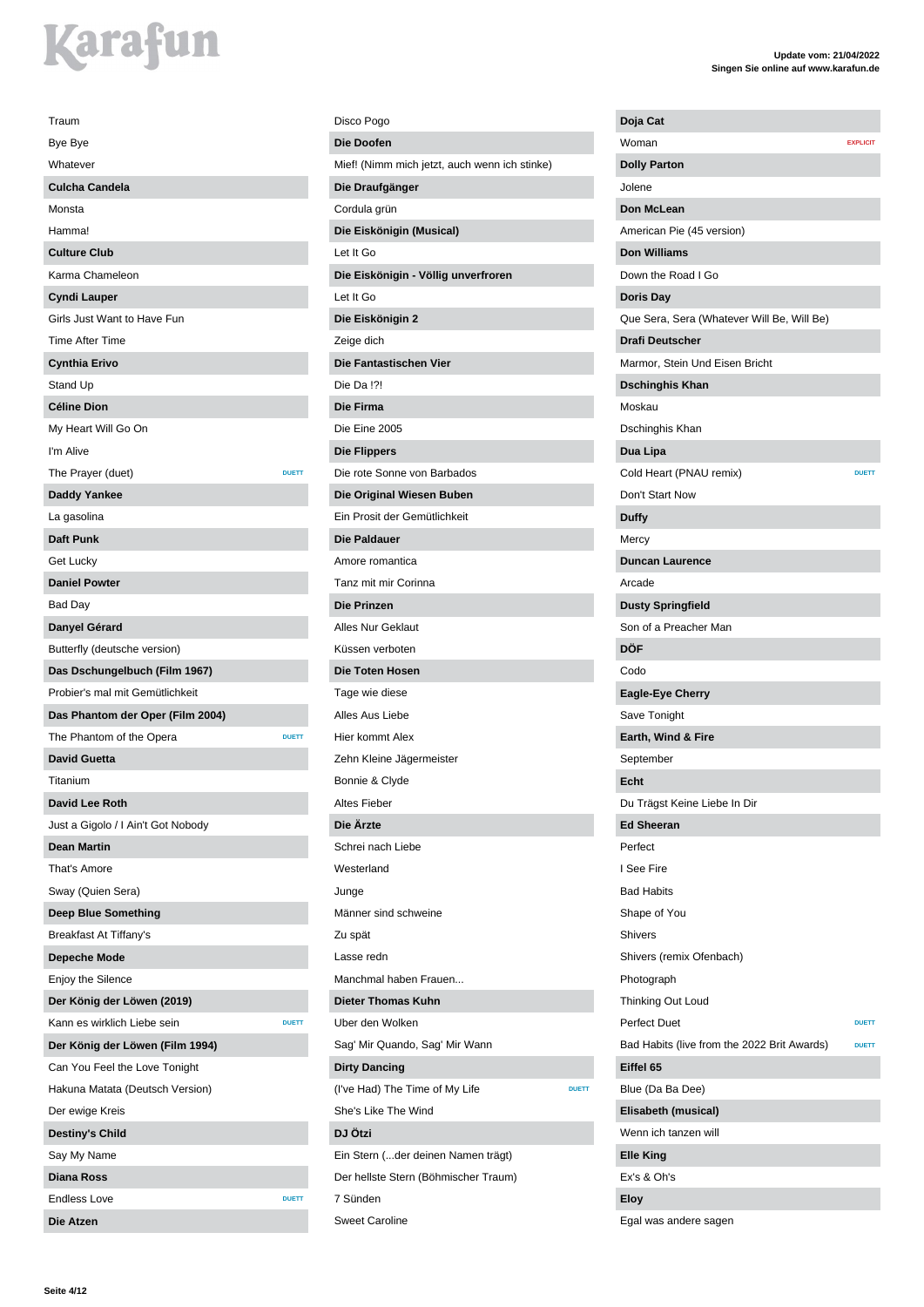| Traum                              |              |
|------------------------------------|--------------|
| Bye Bye                            |              |
| Whatever                           |              |
| <b>Culcha Candela</b>              |              |
| Monsta                             |              |
| Hamma!                             |              |
| <b>Culture Club</b>                |              |
| Karma Chameleon                    |              |
| <b>Cyndi Lauper</b>                |              |
| Girls Just Want to Have Fun        |              |
| <b>Time After Time</b>             |              |
| <b>Cynthia Erivo</b>               |              |
| Stand Up                           |              |
| <b>Céline Dion</b>                 |              |
| My Heart Will Go On                |              |
| I'm Alive                          |              |
| The Prayer (duet)                  | <b>DUETT</b> |
| <b>Daddy Yankee</b>                |              |
| La gasolina                        |              |
| Daft Punk                          |              |
| Get Lucky                          |              |
| <b>Daniel Powter</b>               |              |
| Bad Day                            |              |
| Danyel Gérard                      |              |
| Butterfly (deutsche version)       |              |
| Das Dschungelbuch (Film 1967)      |              |
| Probier's mal mit Gemütlichkeit    |              |
| Das Phantom der Oper (Film 2004)   |              |
| The Phantom of the Opera           | <b>DUETT</b> |
| <b>David Guetta</b>                |              |
| Titanium                           |              |
| <b>David Lee Roth</b>              |              |
| Just a Gigolo / I Ain't Got Nobody |              |
| <b>Dean Martin</b>                 |              |
| That's Amore                       |              |
| Sway (Quien Sera)                  |              |
| <b>Deep Blue Something</b>         |              |
| Breakfast At Tiffany's             |              |
| Depeche Mode                       |              |
| Enjoy the Silence                  |              |
| Der König der Löwen (2019)         |              |
| Kann es wirklich Liebe sein        | <b>DUETT</b> |
| Der König der Löwen (Film 1994)    |              |
| Can You Feel the Love Tonight      |              |
| Hakuna Matata (Deutsch Version)    |              |
| Der ewige Kreis                    |              |
| <b>Destiny's Child</b>             |              |
| Say My Name                        |              |
| <b>Diana Ross</b>                  |              |
| <b>Endless Love</b>                | <b>DUETT</b> |
| Die Atzen                          |              |
|                                    |              |

### Disco Pogo **Die Doofen** Mief! (Nimm mich jetzt, auch wenn ich stinke) **Die Draufgänger** Cordula grün **Die Eiskönigin (Musical)** Let It Go **Die Eiskönigin - Völlig unverfroren** Let It Go **Die Eiskönigin 2** Zeige dich **Die Fantastischen Vier** Die Da !?! **Die Firma** Die Eine 2005 **Die Flippers** Die rote Sonne von Barbados **Die Original Wiesen Buben** Ein Prosit der Gemütlichkeit **Die Paldauer** Amore romantica Tanz mit mir Corinna **Die Prinzen** Alles Nur Geklaut Küssen verboten **Die Toten Hosen** Tage wie diese Alles Aus Liebe Hier kommt Alex Zehn Kleine Jägermeister Bonnie & Clyde Altes Fieber **Die Ärzte** Schrei nach Liebe Westerland Junge Männer sind schweine Zu spät Lasse redn Manchmal haben Frauen... **Dieter Thomas Kuhn** Uber den Wolken Sag' Mir Quando, Sag' Mir Wann **Dirty Dancing** (I've Had) The Time of My Life She's Like The Wind **DJ Ötzi** Ein Stern (...der deinen Namen trägt) Der hellste Stern (Böhmischer Traum) 7 Sünden Sweet Caroline

#### **Update vom: 21/04/2022 Singen Sie online auf www.karafun.de**

| Doja Cat                                    |                 |
|---------------------------------------------|-----------------|
| Woman                                       | <b>EXPLICIT</b> |
| <b>Dolly Parton</b>                         |                 |
| Jolene                                      |                 |
| Don McLean                                  |                 |
| American Pie (45 version)                   |                 |
| <b>Don Williams</b>                         |                 |
| Down the Road I Go                          |                 |
| <b>Doris Day</b>                            |                 |
| Que Sera, Sera (Whatever Will Be, Will Be)  |                 |
| <b>Drafi Deutscher</b>                      |                 |
| Marmor, Stein Und Eisen Bricht              |                 |
| <b>Dschinghis Khan</b>                      |                 |
| Moskau                                      |                 |
| Dschinghis Khan                             |                 |
| Dua Lipa                                    |                 |
| Cold Heart (PNAU remix)                     | <b>DUETT</b>    |
| Don't Start Now                             |                 |
| <b>Duffy</b>                                |                 |
| Mercy                                       |                 |
| <b>Duncan Laurence</b>                      |                 |
| Arcade                                      |                 |
| <b>Dusty Springfield</b>                    |                 |
| Son of a Preacher Man                       |                 |
| DÖF                                         |                 |
| Codo                                        |                 |
| <b>Eagle-Eye Cherry</b>                     |                 |
| Save Tonight                                |                 |
| Earth, Wind & Fire                          |                 |
| September                                   |                 |
| Echt                                        |                 |
| Du Trägst Keine Liebe In Dir                |                 |
| <b>Ed Sheeran</b>                           |                 |
| Perfect                                     |                 |
| I See Fire                                  |                 |
| <b>Bad Habits</b>                           |                 |
|                                             |                 |
| Shape of You                                |                 |
| <b>Shivers</b>                              |                 |
| Shivers (remix Ofenbach)                    |                 |
| Photograph                                  |                 |
| Thinking Out Loud                           |                 |
| <b>Perfect Duet</b>                         | <b>DUETT</b>    |
| Bad Habits (live from the 2022 Brit Awards) | <b>DUETT</b>    |
| Eiffel 65                                   |                 |
| Blue (Da Ba Dee)                            |                 |
| Elisabeth (musical)                         |                 |
| Wenn ich tanzen will                        |                 |
| <b>Elle King</b>                            |                 |
| Ex's & Oh's                                 |                 |
| Eloy                                        |                 |

Egal was andere sagen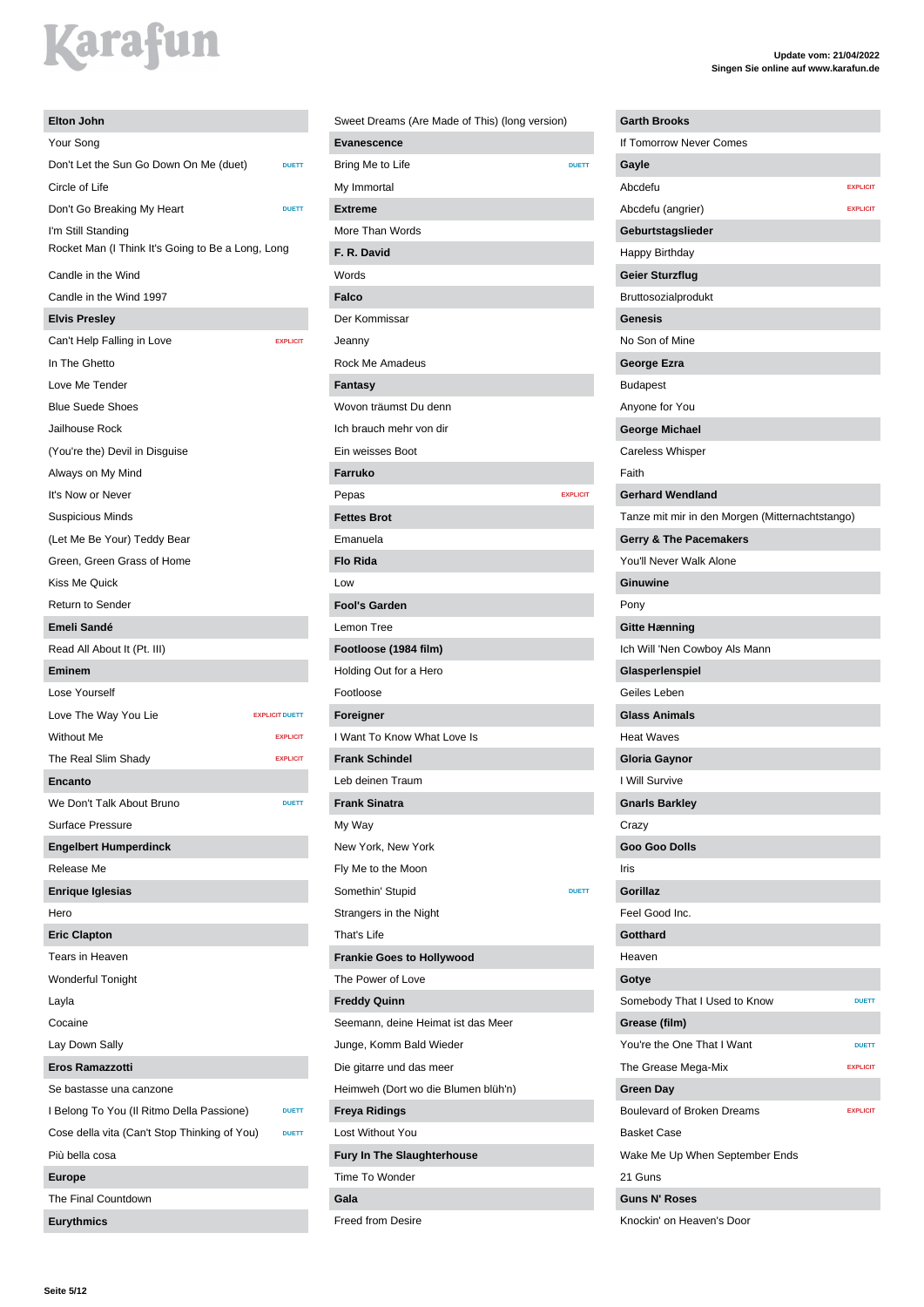| <b>Elton John</b>                                                       |                       |
|-------------------------------------------------------------------------|-----------------------|
| Your Song                                                               |                       |
| Don't Let the Sun Go Down On Me (duet)                                  | <b>DUETT</b>          |
| Circle of Life                                                          |                       |
| Don't Go Breaking My Heart                                              | <b>DUETT</b>          |
| I'm Still Standing<br>Rocket Man (I Think It's Going to Be a Long, Long |                       |
| Candle in the Wind                                                      |                       |
| Candle in the Wind 1997                                                 |                       |
| <b>Elvis Presley</b>                                                    |                       |
| Can't Help Falling in Love                                              | <b>EXPLICIT</b>       |
| In The Ghetto                                                           |                       |
| Love Me Tender                                                          |                       |
| <b>Blue Suede Shoes</b>                                                 |                       |
| Jailhouse Rock                                                          |                       |
| (You're the) Devil in Disguise                                          |                       |
| Always on My Mind                                                       |                       |
| It's Now or Never                                                       |                       |
| <b>Suspicious Minds</b>                                                 |                       |
| (Let Me Be Your) Teddy Bear                                             |                       |
| Green, Green Grass of Home                                              |                       |
| Kiss Me Quick                                                           |                       |
| <b>Return to Sender</b>                                                 |                       |
| Emeli Sandé                                                             |                       |
| Read All About It (Pt. III)                                             |                       |
| <b>Eminem</b>                                                           |                       |
| Lose Yourself                                                           |                       |
| Love The Way You Lie                                                    | <b>EXPLICIT DUETT</b> |
| <b>Without Me</b>                                                       | <b>EXPLICIT</b>       |
| The Real Slim Shady                                                     | <b>EXPLICIT</b>       |
| <b>Encanto</b>                                                          |                       |
| We Don't Talk About Bruno                                               | <b>DUETT</b>          |
| <b>Surface Pressure</b>                                                 |                       |
| <b>Engelbert Humperdinck</b>                                            |                       |
| Release Me                                                              |                       |
| <b>Enrique Iglesias</b>                                                 |                       |
| Hero                                                                    |                       |
| <b>Eric Clapton</b>                                                     |                       |
| Tears in Heaven                                                         |                       |
| <b>Wonderful Tonight</b>                                                |                       |
| Layla                                                                   |                       |
| Cocaine                                                                 |                       |
| Lay Down Sally                                                          |                       |
| <b>Eros Ramazzotti</b>                                                  |                       |
| Se bastasse una canzone                                                 |                       |
| I Belong To You (Il Ritmo Della Passione)                               | <b>DUETT</b>          |
| Cose della vita (Can't Stop Thinking of You)                            | <b>DUETT</b>          |
| Più bella cosa                                                          |                       |
| <b>Europe</b>                                                           |                       |
| The Final Countdown                                                     |                       |
| <b>Eurythmics</b>                                                       |                       |
|                                                                         |                       |

| Sweet Dreams (Are Made of This) (long version) |                 |
|------------------------------------------------|-----------------|
| <b>Evanescence</b>                             |                 |
| Bring Me to Life                               | <b>DUETT</b>    |
| My Immortal                                    |                 |
| <b>Extreme</b>                                 |                 |
| More Than Words                                |                 |
| F. R. David                                    |                 |
| Words                                          |                 |
| <b>Falco</b>                                   |                 |
| Der Kommissar                                  |                 |
| Jeanny                                         |                 |
| Rock Me Amadeus                                |                 |
| Fantasy                                        |                 |
| Wovon träumst Du denn                          |                 |
| Ich brauch mehr von dir                        |                 |
| Ein weisses Boot                               |                 |
| <b>Farruko</b>                                 |                 |
| Pepas                                          | <b>EXPLICIT</b> |
| <b>Fettes Brot</b>                             |                 |
| Emanuela                                       |                 |
| <b>Flo Rida</b>                                |                 |
| Low                                            |                 |
| <b>Fool's Garden</b>                           |                 |
| Lemon Tree                                     |                 |
| Footloose (1984 film)                          |                 |
| Holding Out for a Hero                         |                 |
| Footloose                                      |                 |
| Foreigner                                      |                 |
| I Want To Know What Love Is                    |                 |
| <b>Frank Schindel</b>                          |                 |
| Leb deinen Traum                               |                 |
| <b>Frank Sinatra</b>                           |                 |
| My Way                                         |                 |
| New York, New York                             |                 |
| Fly Me to the Moon                             |                 |
| Somethin' Stupid                               | <b>DUETT</b>    |
| Strangers in the Night                         |                 |
| That's Life                                    |                 |
| <b>Frankie Goes to Hollywood</b>               |                 |
| The Power of Love                              |                 |
| <b>Freddy Quinn</b>                            |                 |
| Seemann, deine Heimat ist das Meer             |                 |
| Junge, Komm Bald Wieder                        |                 |
| Die gitarre und das meer                       |                 |
| Heimweh (Dort wo die Blumen blüh'n)            |                 |
| <b>Freya Ridings</b>                           |                 |
| Lost Without You                               |                 |
| <b>Fury In The Slaughterhouse</b>              |                 |
| Time To Wonder                                 |                 |
| Gala                                           |                 |
| <b>Freed from Desire</b>                       |                 |

#### **Update vom: 21/04/2022 Singen Sie online auf www.karafun.de**

| <b>Garth Brooks</b>                                  |
|------------------------------------------------------|
| If Tomorrow Never Comes                              |
| Gayle                                                |
| Abcdefu<br><b>EXPLICIT</b>                           |
| Abcdefu (angrier)<br><b>EXPLICIT</b>                 |
| Geburtstagslieder                                    |
| Happy Birthday                                       |
| Geier Sturzflug                                      |
| Bruttosozialprodukt                                  |
| <b>Genesis</b>                                       |
| No Son of Mine                                       |
| George Ezra                                          |
| <b>Budapest</b>                                      |
| Anyone for You                                       |
| George Michael                                       |
| Careless Whisper                                     |
| Faith                                                |
|                                                      |
| <b>Gerhard Wendland</b>                              |
| Tanze mit mir in den Morgen (Mitternachtstango)      |
| <b>Gerry &amp; The Pacemakers</b>                    |
| You'll Never Walk Alone                              |
| Ginuwine                                             |
| Pony                                                 |
| <b>Gitte Hænning</b>                                 |
| Ich Will 'Nen Cowboy Als Mann                        |
| Glasperlenspiel                                      |
| Geiles Leben                                         |
| <b>Glass Animals</b>                                 |
| <b>Heat Waves</b>                                    |
| Gloria Gaynor                                        |
| I Will Survive                                       |
| <b>Gnarls Barkley</b>                                |
| Crazy                                                |
| Goo Goo Dolls                                        |
| Iris                                                 |
| Gorillaz                                             |
| Feel Good Inc.                                       |
| Gotthard                                             |
| Heaven                                               |
| Gotye                                                |
| Somebody That I Used to Know<br><b>DUETT</b>         |
| Grease (film)                                        |
| You're the One That I Want<br><b>DUETT</b>           |
| The Grease Mega-Mix<br><b>EXPLICIT</b>               |
| <b>Green Day</b>                                     |
| <b>Boulevard of Broken Dreams</b><br><b>EXPLICIT</b> |
| <b>Basket Case</b>                                   |
| Wake Me Up When September Ends                       |
| 21 Guns                                              |
| <b>Guns N' Roses</b>                                 |

Knockin' on Heaven's Door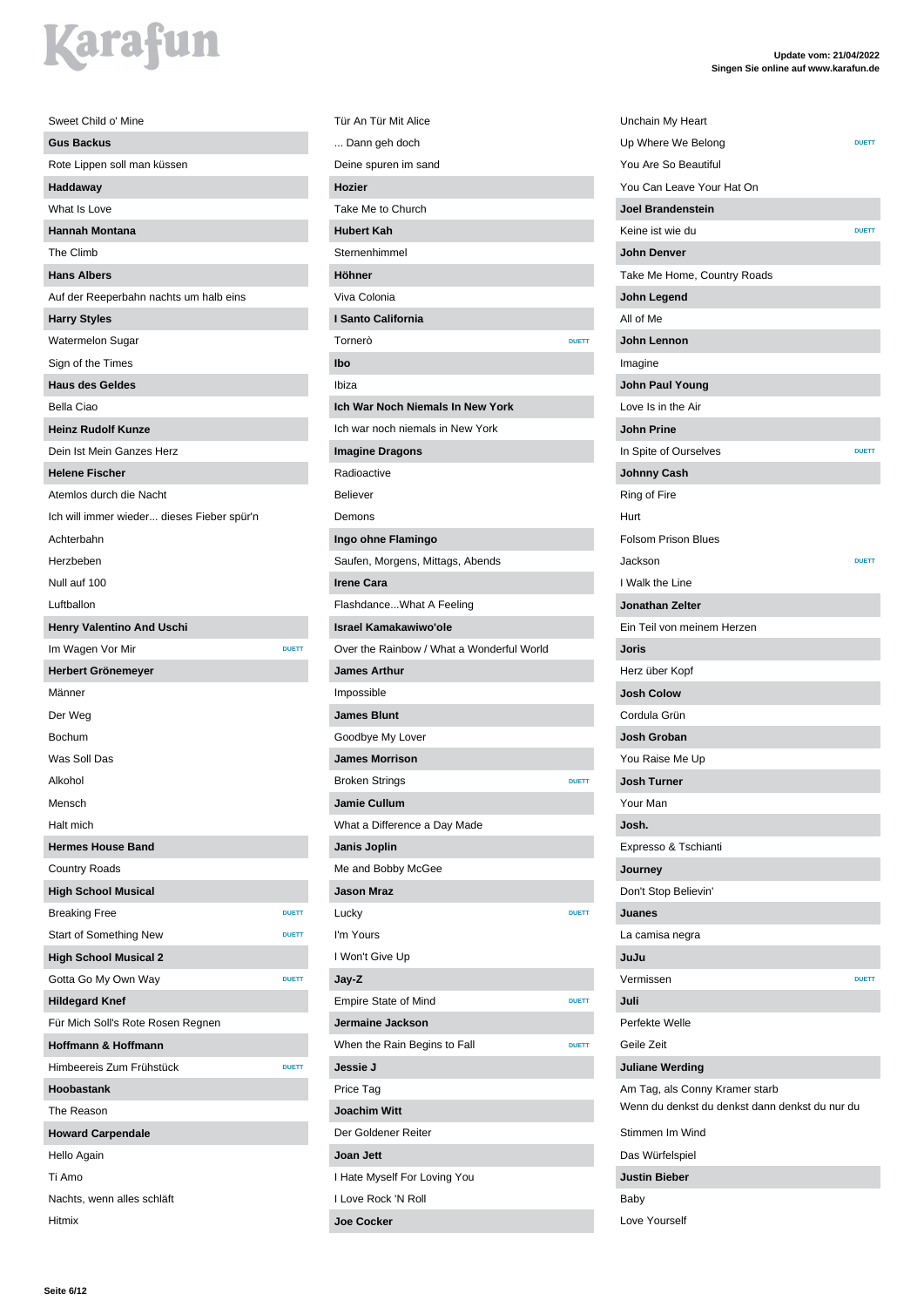| Sweet Child o' Mine                        |              |
|--------------------------------------------|--------------|
| <b>Gus Backus</b>                          |              |
| Rote Lippen soll man küssen                |              |
| Haddaway                                   |              |
| What Is Love                               |              |
| <b>Hannah Montana</b>                      |              |
| The Climb                                  |              |
| <b>Hans Albers</b>                         |              |
| Auf der Reeperbahn nachts um halb eins     |              |
| <b>Harry Styles</b>                        |              |
| Watermelon Sugar                           |              |
| Sign of the Times                          |              |
| <b>Haus des Geldes</b>                     |              |
| <b>Bella Ciao</b>                          |              |
| <b>Heinz Rudolf Kunze</b>                  |              |
| Dein Ist Mein Ganzes Herz                  |              |
| <b>Helene Fischer</b>                      |              |
| Atemlos durch die Nacht                    |              |
| Ich will immer wieder dieses Fieber spür'n |              |
| Achterbahn                                 |              |
| Herzbeben                                  |              |
| Null auf 100                               |              |
| Luftballon                                 |              |
| <b>Henry Valentino And Uschi</b>           |              |
| Im Wagen Vor Mir                           | <b>DUETT</b> |
| Herbert Grönemeyer                         |              |
| Männer                                     |              |
| Der Weg                                    |              |
| Bochum                                     |              |
| Was Soll Das                               |              |
| Alkohol                                    |              |
| Mensch                                     |              |
| Halt mich                                  |              |
| <b>Hermes House Band</b>                   |              |
| <b>Country Roads</b>                       |              |
| <b>High School Musical</b>                 |              |
| <b>Breaking Free</b>                       | <b>DUETT</b> |
| <b>Start of Something New</b>              | <b>DUETT</b> |
| <b>High School Musical 2</b>               |              |
| Gotta Go My Own Way                        | <b>DUETT</b> |
| <b>Hildegard Knef</b>                      |              |
| Für Mich Soll's Rote Rosen Regnen          |              |
| Hoffmann & Hoffmann                        |              |
| Himbeereis Zum Frühstück                   | <b>DUETT</b> |
| Hoobastank                                 |              |
| The Reason                                 |              |
| <b>Howard Carpendale</b>                   |              |
| Hello Again                                |              |
|                                            |              |
| Ti Amo                                     |              |
| Nachts, wenn alles schläft                 |              |

Tür An Tür Mit Alice ... Dann geh doch Deine spuren im sand **Hozier** Take Me to Church **Hubert Kah** Sternenhimmel **Höhner** Viva Colonia **I Santo California Tornerò Ibo** Ibiza **Ich War Noch Niemals In New York** Ich war noch niemals in New York **Imagine Dragons** Radioactive Believer Demons **Ingo ohne Flamingo** Saufen, Morgens, Mittags, Abends **Irene Cara** Flashdance...What A Feeling **Israel Kamakawiwo'ole** Over the Rainbow / What a Wonderful World **James Arthur** Impossible **James Blunt** Goodbye My Lover **James Morrison Broken Strings DUET DUET Jamie Cullum** What a Difference a Day Made **Janis Joplin** Me and Bobby McGee **Jason Mraz Lucky DUETT** I'm Yours I Won't Give Up **Jay-Z Empire State of Mind DUETT Jermaine Jackson** When the Rain Begins to Fall **DUETT Jessie J** Price Tag **Joachim Witt** Der Goldener Reiter **Joan Jett** I Hate Myself For Loving You I Love Rock 'N Roll **Joe Cocker**

| Unchain My Heart                                                                 |              |
|----------------------------------------------------------------------------------|--------------|
| Up Where We Belong                                                               | <b>DUETT</b> |
| You Are So Beautiful                                                             |              |
| You Can Leave Your Hat On                                                        |              |
| <b>Joel Brandenstein</b>                                                         |              |
| Keine ist wie du                                                                 | <b>DUETT</b> |
| John Denver                                                                      |              |
| Take Me Home, Country Roads                                                      |              |
| John Legend                                                                      |              |
| All of Me                                                                        |              |
| John Lennon                                                                      |              |
| Imagine                                                                          |              |
| John Paul Young                                                                  |              |
| Love Is in the Air                                                               |              |
| <b>John Prine</b>                                                                |              |
| In Spite of Ourselves                                                            | <b>DUETT</b> |
| <b>Johnny Cash</b>                                                               |              |
| Ring of Fire                                                                     |              |
| Hurt                                                                             |              |
| <b>Folsom Prison Blues</b>                                                       |              |
| Jackson                                                                          | <b>DUETT</b> |
| I Walk the Line                                                                  |              |
| <b>Jonathan Zelter</b>                                                           |              |
| Ein Teil von meinem Herzen                                                       |              |
| Joris                                                                            |              |
| Herz über Kopf                                                                   |              |
| <b>Josh Colow</b>                                                                |              |
| Cordula Grün                                                                     |              |
| Josh Groban                                                                      |              |
| You Raise Me Up                                                                  |              |
| <b>Josh Turner</b>                                                               |              |
| Your Man                                                                         |              |
| Josh.                                                                            |              |
| Expresso & Tschianti                                                             |              |
| Journey                                                                          |              |
| Don't Stop Believin'                                                             |              |
| Juanes                                                                           |              |
|                                                                                  |              |
| La camisa negra                                                                  |              |
| JuJu<br>Vermissen                                                                |              |
|                                                                                  | <b>DUETT</b> |
| Juli                                                                             |              |
| Perfekte Welle                                                                   |              |
| Geile Zeit                                                                       |              |
| <b>Juliane Werding</b>                                                           |              |
| Am Tag, als Conny Kramer starb<br>Wenn du denkst du denkst dann denkst du nur du |              |
| Stimmen Im Wind                                                                  |              |
| Das Würfelspiel                                                                  |              |
| <b>Justin Bieber</b>                                                             |              |
| Baby                                                                             |              |
| Love Yourself                                                                    |              |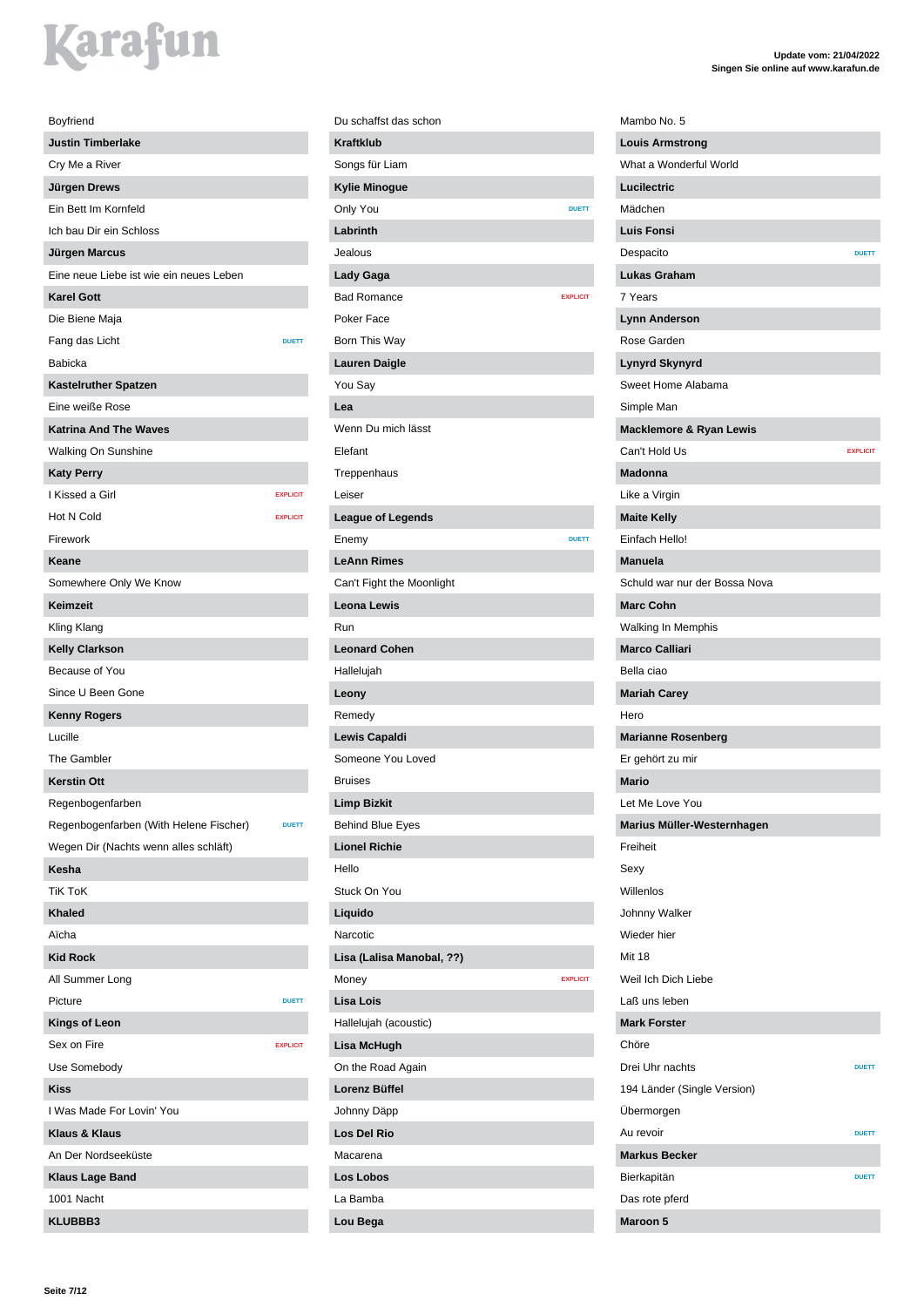| Boyfriend                               |                 |
|-----------------------------------------|-----------------|
| <b>Justin Timberlake</b>                |                 |
| Cry Me a River                          |                 |
| Jürgen Drews                            |                 |
| Ein Bett Im Kornfeld                    |                 |
| Ich bau Dir ein Schloss                 |                 |
| Jürgen Marcus                           |                 |
| Eine neue Liebe ist wie ein neues Leben |                 |
| <b>Karel Gott</b>                       |                 |
| Die Biene Maja                          |                 |
| Fang das Licht                          | <b>DUETT</b>    |
| <b>Babicka</b>                          |                 |
| Kastelruther Spatzen                    |                 |
| Eine weiße Rose                         |                 |
| <b>Katrina And The Waves</b>            |                 |
| Walking On Sunshine                     |                 |
| <b>Katy Perry</b>                       |                 |
| I Kissed a Girl                         | <b>EXPLICIT</b> |
| Hot N Cold                              | <b>EXPLICIT</b> |
| Firework                                |                 |
| Keane                                   |                 |
| Somewhere Only We Know                  |                 |
| Keimzeit                                |                 |
| Kling Klang                             |                 |
| <b>Kelly Clarkson</b>                   |                 |
| Because of You                          |                 |
| Since U Been Gone                       |                 |
| <b>Kenny Rogers</b>                     |                 |
| Lucille                                 |                 |
| The Gambler                             |                 |
| <b>Kerstin Ott</b>                      |                 |
| Regenbogenfarben                        |                 |
| Regenbogenfarben (With Helene Fischer)  | <b>DUETT</b>    |
| Wegen Dir (Nachts wenn alles schläft)   |                 |
| Kesha                                   |                 |
| <b>TiK ToK</b>                          |                 |
| <b>Khaled</b>                           |                 |
| Aïcha                                   |                 |
| <b>Kid Rock</b>                         |                 |
| All Summer Long                         |                 |
| Picture                                 | <b>DUETT</b>    |
| <b>Kings of Leon</b>                    |                 |
| Sex on Fire                             | <b>EXPLICIT</b> |
| Use Somebody                            |                 |
| <b>Kiss</b>                             |                 |
| I Was Made For Lovin' You               |                 |
| <b>Klaus &amp; Klaus</b>                |                 |
| An Der Nordseeküste                     |                 |
| <b>Klaus Lage Band</b>                  |                 |
| 1001 Nacht                              |                 |
| KLUBBB3                                 |                 |

| Du schaffst das schon                 |
|---------------------------------------|
| <b>Kraftklub</b>                      |
| Songs für Liam                        |
| <b>Kylie Minogue</b>                  |
| Only You<br><b>DUETT</b>              |
| Labrinth                              |
| Jealous                               |
| Lady Gaga                             |
| <b>Bad Romance</b><br><b>EXPLICIT</b> |
| Poker Face                            |
| Born This Way                         |
| <b>Lauren Daigle</b>                  |
| You Say                               |
| Lea                                   |
| Wenn Du mich lässt                    |
| Elefant                               |
| Treppenhaus                           |
| Leiser                                |
| <b>League of Legends</b>              |
| Enemy<br><b>DUETT</b>                 |
| <b>LeAnn Rimes</b>                    |
| Can't Fight the Moonlight             |
| Leona Lewis                           |
| Run                                   |
| <b>Leonard Cohen</b>                  |
| Hallelujah                            |
| Leony                                 |
| Remedy                                |
| <b>Lewis Capaldi</b>                  |
| Someone You Loved                     |
| <b>Bruises</b>                        |
| <b>Limp Bizkit</b>                    |
| <b>Behind Blue Eyes</b>               |
| <b>Lionel Richie</b>                  |
| Hello                                 |
| Stuck On You                          |
| Liquido                               |
| Narcotic                              |
| Lisa (Lalisa Manobal, ??)             |
| Money<br><b>EXPLICIT</b>              |
| Lisa Lois                             |
| Hallelujah (acoustic)                 |
| <b>Lisa McHugh</b>                    |
| On the Road Again                     |
| Lorenz Büffel                         |
| Johnny Däpp                           |
| Los Del Rio                           |
| Macarena                              |
| Los Lobos                             |
| La Bamba                              |
| Lou Bega                              |
|                                       |

**Update vom: 21/04/2022 Singen Sie online auf www.karafun.de** Mambo No. 5 **Louis Armstrong** What a Wonderful World **Lucilectric** Mädchen **Luis Fonsi Despacito Lukas Graham Lynn Anderson** Rose Garden **Lynyrd Skynyrd** Sweet Home Alabama Simple Man **Macklemore & Ryan Lewis** Can't Hold Us **EXPLICIT Madonna** Like a Virgin **Maite Kelly** Einfach Hello! **Manuela** Schuld war nur der Bossa Nova **Marc Cohn** Walking In Memphis **Marco Calliari** Bella ciao **Mariah Carey Marianne Rosenberg** Er gehört zu mir Let Me Love You **Marius Müller-Westernhagen** Willenlos

7 Years

Hero

**Mario**

Freiheit Sexy

Johnny Walker Wieder hier Mit 18

Weil Ich Dich Liebe Laß uns leben **Mark Forster** Chöre

Übermorgen

**Markus Becker**

Das rote pferd **Maroon 5**

194 Länder (Single Version)

Drei Uhr nachts **DUETT** 

Au revoir **DUETT** 

Bierkapitän **DUETT** 

**Seite 7/12**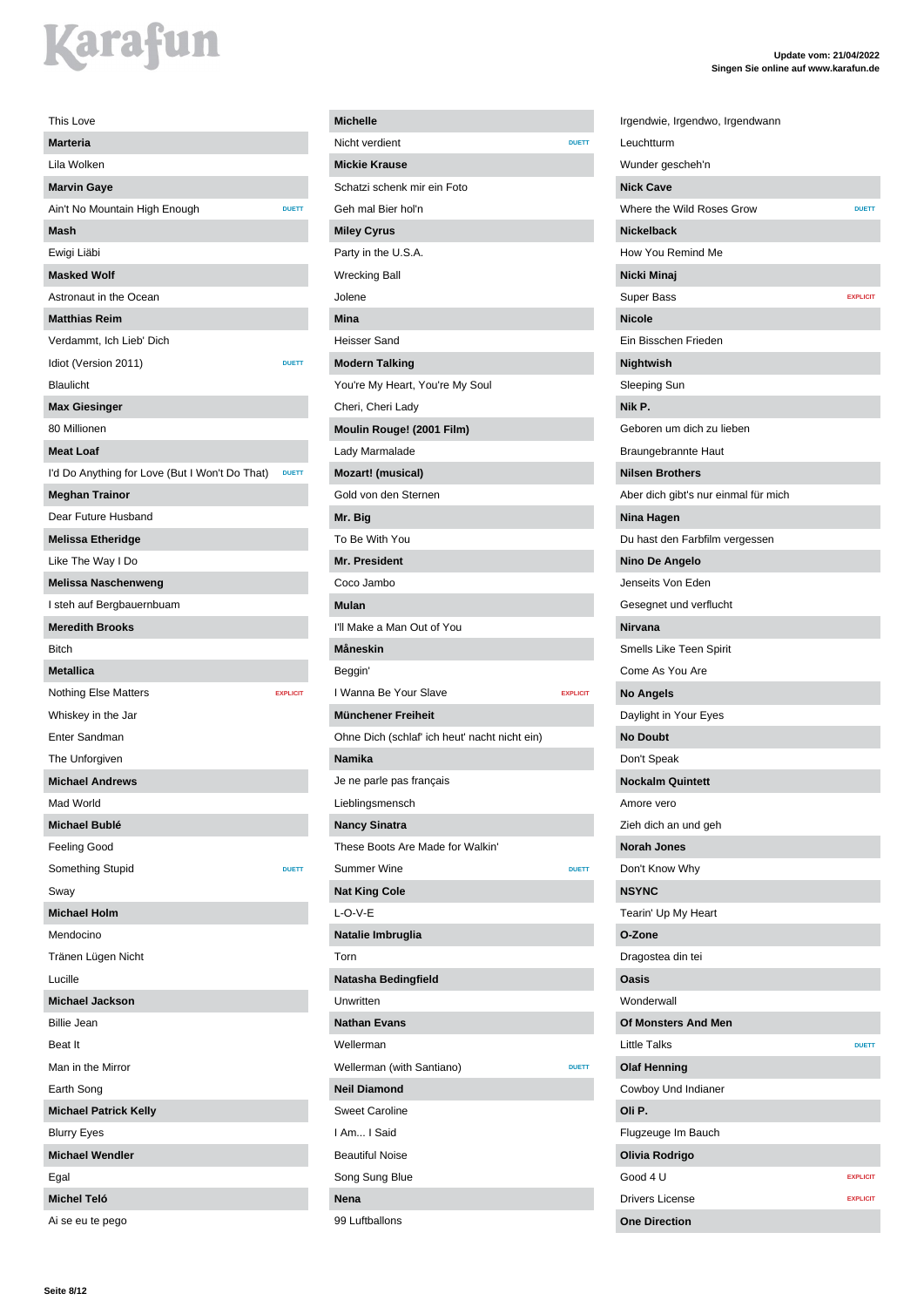| This Love                                      |                 |
|------------------------------------------------|-----------------|
| Marteria                                       |                 |
| Lila Wolken                                    |                 |
| <b>Marvin Gaye</b>                             |                 |
| Ain't No Mountain High Enough                  | <b>DUETT</b>    |
| <b>Mash</b>                                    |                 |
| Ewigi Liäbi                                    |                 |
| <b>Masked Wolf</b>                             |                 |
| Astronaut in the Ocean                         |                 |
| <b>Matthias Reim</b>                           |                 |
| Verdammt, Ich Lieb' Dich                       |                 |
| Idiot (Version 2011)                           | <b>DUETT</b>    |
| <b>Blaulicht</b>                               |                 |
| <b>Max Giesinger</b>                           |                 |
| 80 Millionen                                   |                 |
| <b>Meat Loaf</b>                               |                 |
| I'd Do Anything for Love (But I Won't Do That) | <b>DUETT</b>    |
| <b>Meghan Trainor</b>                          |                 |
| Dear Future Husband                            |                 |
| <b>Melissa Etheridge</b>                       |                 |
| Like The Way I Do                              |                 |
| Melissa Naschenweng                            |                 |
| I steh auf Bergbauernbuam                      |                 |
| <b>Meredith Brooks</b>                         |                 |
| <b>Bitch</b>                                   |                 |
|                                                |                 |
| <b>Metallica</b>                               |                 |
| <b>Nothing Else Matters</b>                    | <b>EXPLICIT</b> |
| Whiskey in the Jar                             |                 |
| Enter Sandman                                  |                 |
| The Unforgiven                                 |                 |
| <b>Michael Andrews</b>                         |                 |
| Mad World                                      |                 |
| Michael Bublé                                  |                 |
| Feeling Good                                   |                 |
| Something Stupid                               | <b>DUETT</b>    |
|                                                |                 |
| Sway                                           |                 |
| <b>Michael Holm</b>                            |                 |
| Mendocino                                      |                 |
| Tränen Lügen Nicht                             |                 |
| Lucille                                        |                 |
| <b>Michael Jackson</b>                         |                 |
| <b>Billie Jean</b>                             |                 |
| Beat It                                        |                 |
| Man in the Mirror                              |                 |
| Earth Song                                     |                 |
| <b>Michael Patrick Kelly</b>                   |                 |
| <b>Blurry Eyes</b>                             |                 |
| <b>Michael Wendler</b>                         |                 |
| Egal                                           |                 |

Ai se eu te pego

| <b>Michelle</b>                               |                 |
|-----------------------------------------------|-----------------|
| Nicht verdient                                | <b>DUETT</b>    |
| <b>Mickie Krause</b>                          |                 |
| Schatzi schenk mir ein Foto                   |                 |
| Geh mal Bier hol'n                            |                 |
| <b>Miley Cyrus</b>                            |                 |
| Party in the U.S.A.                           |                 |
| <b>Wrecking Ball</b>                          |                 |
| Jolene                                        |                 |
| <b>Mina</b>                                   |                 |
| Heisser Sand                                  |                 |
| <b>Modern Talking</b>                         |                 |
| You're My Heart, You're My Soul               |                 |
| Cheri, Cheri Lady                             |                 |
| Moulin Rouge! (2001 Film)                     |                 |
| Lady Marmalade                                |                 |
| Mozart! (musical)                             |                 |
| Gold von den Sternen                          |                 |
| Mr. Big                                       |                 |
| To Be With You                                |                 |
| Mr. President                                 |                 |
| Coco Jambo                                    |                 |
| <b>Mulan</b>                                  |                 |
| I'll Make a Man Out of You                    |                 |
| Måneskin                                      |                 |
| Beggin'                                       |                 |
|                                               |                 |
|                                               | <b>EXPLICIT</b> |
| I Wanna Be Your Slave                         |                 |
| Münchener Freiheit                            |                 |
| Ohne Dich (schlaf' ich heut' nacht nicht ein) |                 |
| <b>Namika</b>                                 |                 |
| Je ne parle pas français                      |                 |
| Lieblingsmensch                               |                 |
| <b>Nancy Sinatra</b>                          |                 |
| These Boots Are Made for Walkin'              |                 |
| Summer Wine                                   | <b>DUETT</b>    |
| <b>Nat King Cole</b>                          |                 |
| $L-O-V-E$                                     |                 |
| Natalie Imbruglia                             |                 |
| Torn                                          |                 |
| Natasha Bedingfield                           |                 |
| Unwritten                                     |                 |
| <b>Nathan Evans</b>                           |                 |
| Wellerman                                     |                 |
| Wellerman (with Santiano)                     | <b>DUETT</b>    |
| <b>Neil Diamond</b>                           |                 |
| <b>Sweet Caroline</b>                         |                 |
| I Am I Said                                   |                 |
| <b>Beautiful Noise</b>                        |                 |
| Song Sung Blue                                |                 |

99 Luftballons

| Irgendwie, Irgendwo, Irgendwann      |                 |
|--------------------------------------|-----------------|
| Leuchtturm                           |                 |
| Wunder gescheh'n                     |                 |
| <b>Nick Cave</b>                     |                 |
| Where the Wild Roses Grow            | <b>DUETT</b>    |
| <b>Nickelback</b>                    |                 |
| How You Remind Me                    |                 |
| Nicki Minaj                          |                 |
| Super Bass                           | <b>EXPLICIT</b> |
| <b>Nicole</b>                        |                 |
| Ein Bisschen Frieden                 |                 |
| <b>Nightwish</b>                     |                 |
| Sleeping Sun                         |                 |
| Nik P.                               |                 |
| Geboren um dich zu lieben            |                 |
| <b>Braungebrannte Haut</b>           |                 |
| <b>Nilsen Brothers</b>               |                 |
| Aber dich gibt's nur einmal für mich |                 |
| Nina Hagen                           |                 |
| Du hast den Farbfilm vergessen       |                 |
| Nino De Angelo                       |                 |
| Jenseits Von Eden                    |                 |
| Gesegnet und verflucht               |                 |
| <b>Nirvana</b>                       |                 |
| Smells Like Teen Spirit              |                 |
| Come As You Are                      |                 |
| <b>No Angels</b>                     |                 |
| Daylight in Your Eyes                |                 |
| <b>No Doubt</b>                      |                 |
| Don't Speak                          |                 |
| <b>Nockalm Quintett</b>              |                 |
|                                      |                 |
|                                      |                 |
| Zieh dich an und geh                 |                 |
| <b>Norah Jones</b>                   |                 |
| Don't Know Why                       |                 |
| <b>NSYNC</b>                         |                 |
| Tearin' Up My Heart                  |                 |
| O-Zone                               |                 |
| Dragostea din tei                    |                 |
| Oasis                                |                 |
| Wonderwall                           |                 |
| Of Monsters And Men                  |                 |
| <b>Little Talks</b>                  | <b>DUETT</b>    |
| <b>Olaf Henning</b>                  |                 |
| Cowboy Und Indianer                  |                 |
| Oli P.                               |                 |
| Flugzeuge Im Bauch                   |                 |
| Olivia Rodrigo                       |                 |
| Good 4 U                             | <b>EXPLICIT</b> |
| <b>Drivers License</b>               | <b>EXPLICIT</b> |
| <b>One Direction</b>                 |                 |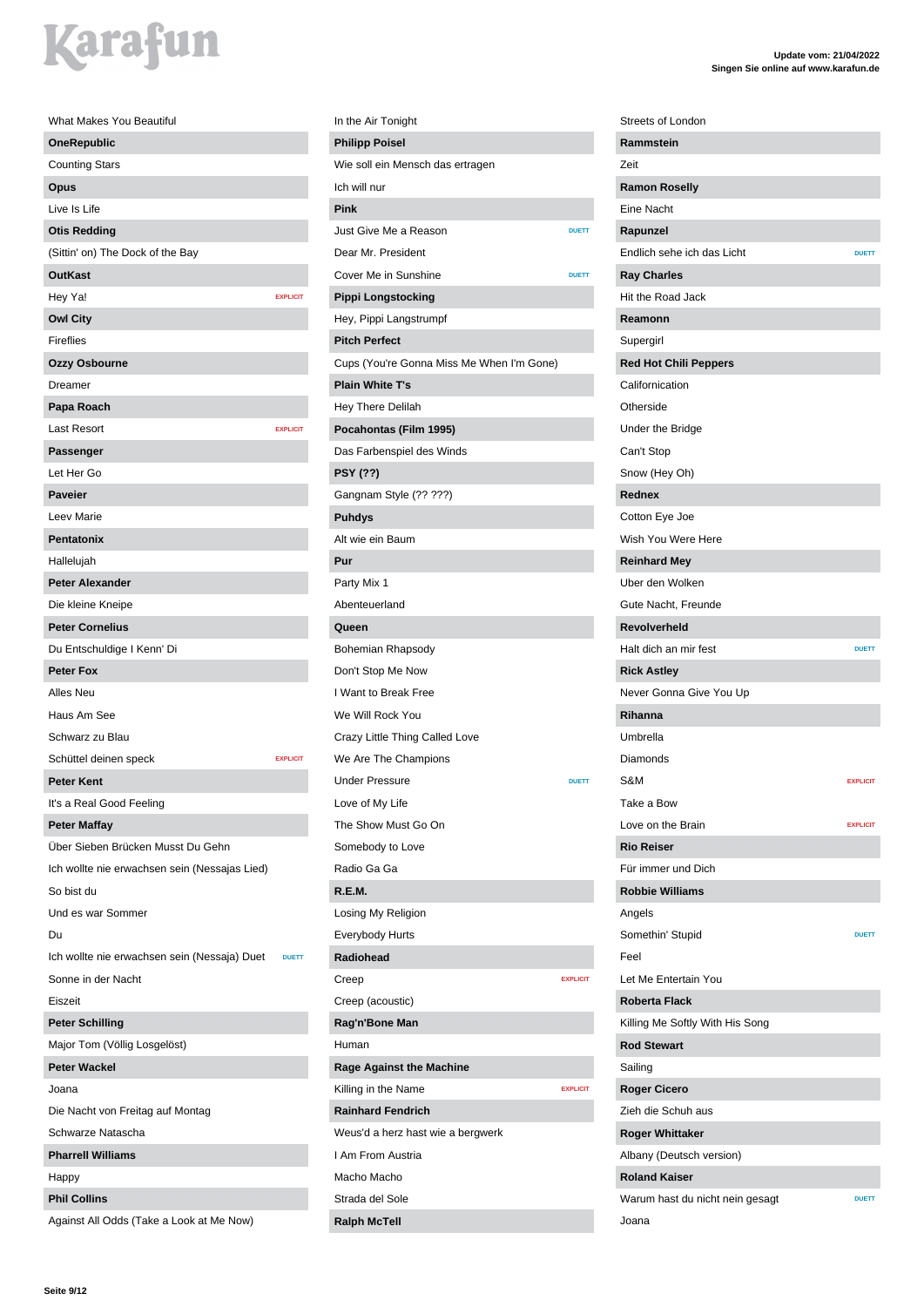| What Makes You Beautiful                                     |
|--------------------------------------------------------------|
| <b>OneRepublic</b>                                           |
| <b>Counting Stars</b>                                        |
| <b>Opus</b>                                                  |
| Live Is Life                                                 |
| <b>Otis Redding</b>                                          |
| (Sittin' on) The Dock of the Bay                             |
| <b>OutKast</b>                                               |
| Hey Ya!<br><b>EXPLICIT</b>                                   |
| <b>Owl City</b>                                              |
| <b>Fireflies</b>                                             |
| Ozzy Osbourne                                                |
| Dreamer                                                      |
| Papa Roach                                                   |
| <b>Last Resort</b><br><b>EXPLICIT</b>                        |
| Passenger                                                    |
| Let Her Go                                                   |
| <b>Paveier</b>                                               |
| Leev Marie                                                   |
| <b>Pentatonix</b>                                            |
| Hallelujah                                                   |
| <b>Peter Alexander</b>                                       |
| Die kleine Kneipe                                            |
| <b>Peter Cornelius</b>                                       |
| Du Entschuldige I Kenn' Di                                   |
| <b>Peter Fox</b>                                             |
| Alles Neu                                                    |
| Haus Am See                                                  |
| Schwarz zu Blau                                              |
| Schüttel deinen speck<br><b>EXPLICIT</b>                     |
| <b>Peter Kent</b>                                            |
| It's a Real Good Feeling                                     |
| <b>Peter Maffay</b>                                          |
| Uber Sieben Brücken Musst Du Gehn                            |
| Ich wollte nie erwachsen sein (Nessajas Lied)                |
| So bist du                                                   |
| Und es war Sommer                                            |
| Du                                                           |
| Ich wollte nie erwachsen sein (Nessaja) Duet<br><b>DUETT</b> |
| Sonne in der Nacht                                           |
| Eiszeit                                                      |
| <b>Peter Schilling</b>                                       |
| Major Tom (Völlig Losgelöst)                                 |
| <b>Peter Wackel</b>                                          |
| Joana                                                        |
| Die Nacht von Freitag auf Montag                             |
| Schwarze Natascha                                            |
| <b>Pharrell Williams</b>                                     |
| Happy                                                        |
| <b>Phil Collins</b>                                          |
| Against All Odds (Take a Look at Me Now)                     |
|                                                              |

**Philipp Poisel** Wie soll ein Mensch das ertragen Ich will nur **Pink** Just Give Me a Reason **DUETT** Dear Mr. President **Cover Me in Sunshine DUET Pippi Longstocking** Hey, Pippi Langstrumpf **Pitch Perfect** Cups (You're Gonna Miss Me When I'm Gone) **Plain White T's** Hey There Delilah **Pocahontas (Film 1995)** Das Farbenspiel des Winds **PSY (??)** Gangnam Style (?? ???) **Puhdys** Alt wie ein Baum **Pur** Party Mix 1 Abenteuerland **Queen** Bohemian Rhapsody Don't Stop Me Now I Want to Break Free We Will Rock You Crazy Little Thing Called Love We Are The Champions Under Pressure **DUETT** Love of My Life The Show Must Go On Somebody to Love Radio Ga Ga **R.E.M.** Losing My Religion Everybody Hurts **Radiohead Creep** EXPLICIT Creep (acoustic) **Rag'n'Bone Man** Human **Rage Against the Machine Killing in the Name Rainhard Fendrich** Weus'd a herz hast wie a bergwerk I Am From Austria Macho Macho Strada del Sole

**Ralph McTell**

In the Air Tonight

| Streets of London               |                 |
|---------------------------------|-----------------|
| Rammstein                       |                 |
| Zeit                            |                 |
| <b>Ramon Roselly</b>            |                 |
| Eine Nacht                      |                 |
| Rapunzel                        |                 |
| Endlich sehe ich das Licht      | <b>DUETT</b>    |
| <b>Ray Charles</b>              |                 |
| Hit the Road Jack               |                 |
| Reamonn                         |                 |
| Supergirl                       |                 |
| <b>Red Hot Chili Peppers</b>    |                 |
| Californication                 |                 |
| Otherside                       |                 |
| Under the Bridge                |                 |
| Can't Stop                      |                 |
| Snow (Hey Oh)                   |                 |
| Rednex                          |                 |
| Cotton Eye Joe                  |                 |
| Wish You Were Here              |                 |
| <b>Reinhard Mey</b>             |                 |
| Uber den Wolken                 |                 |
| Gute Nacht, Freunde             |                 |
| <b>Revolverheld</b>             |                 |
| Halt dich an mir fest           | <b>DUETT</b>    |
| <b>Rick Astley</b>              |                 |
|                                 |                 |
| Never Gonna Give You Up         |                 |
| Rihanna                         |                 |
| Umbrella                        |                 |
| Diamonds                        |                 |
| S&M                             | <b>EXPLICIT</b> |
| Take a Bov                      |                 |
| Love on the Brain               | <b>EXPLICIT</b> |
| <b>Rio Reiser</b>               |                 |
| Für immer und Dich              |                 |
| <b>Robbie Williams</b>          |                 |
| Angels                          |                 |
| Somethin' Stupid                | <b>DUETT</b>    |
| Feel                            |                 |
| Let Me Entertain You            |                 |
| <b>Roberta Flack</b>            |                 |
| Killing Me Softly With His Song |                 |
| <b>Rod Stewart</b>              |                 |
| Sailing                         |                 |
| <b>Roger Cicero</b>             |                 |
| Zieh die Schuh aus              |                 |
| <b>Roger Whittaker</b>          |                 |
| Albany (Deutsch version)        |                 |
| <b>Roland Kaiser</b>            |                 |
| Warum hast du nicht nein gesagt | <b>DUETT</b>    |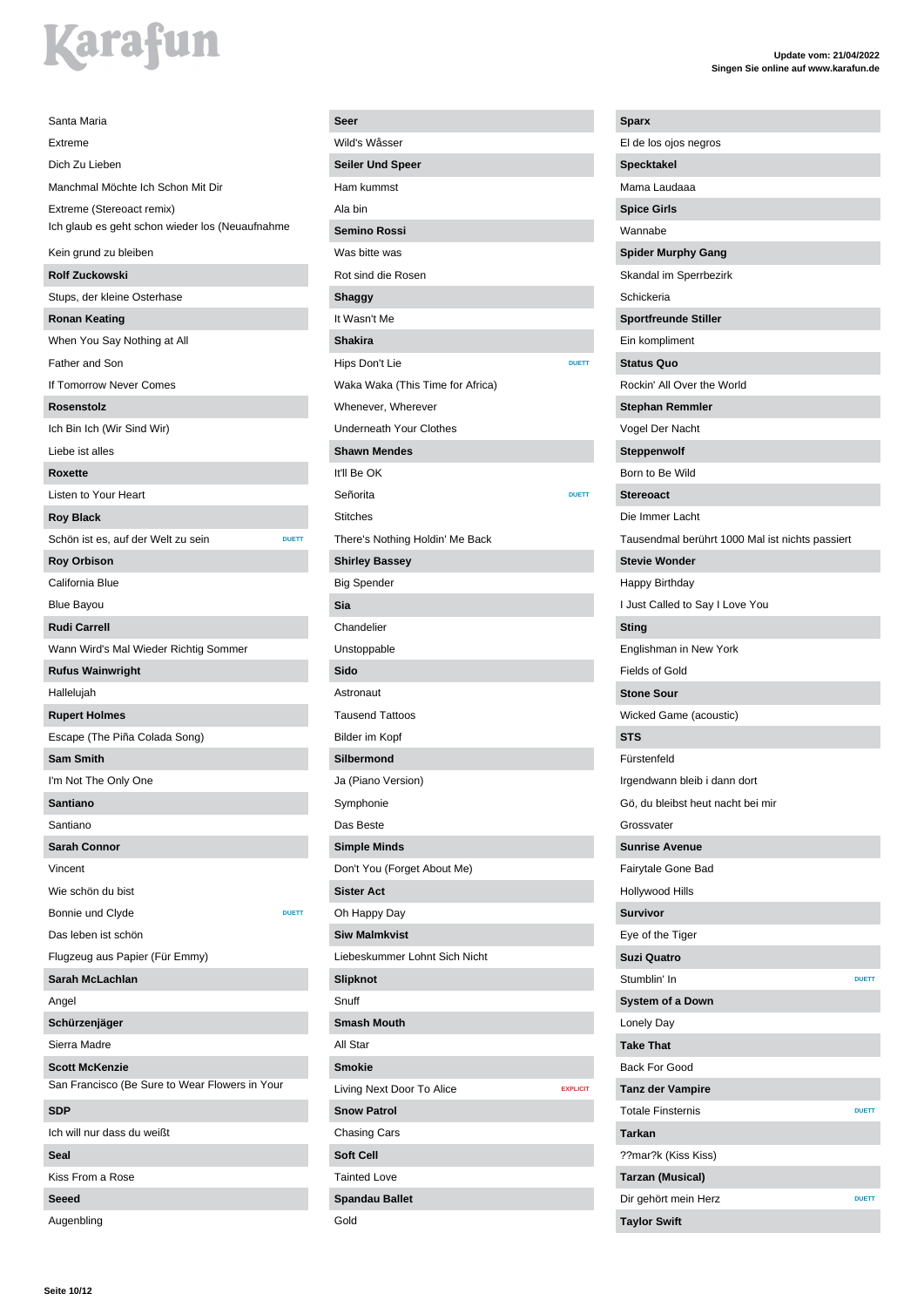| Santa Maria                                     |              | Seer                          |
|-------------------------------------------------|--------------|-------------------------------|
| Extreme                                         |              | Wild's Wåsser                 |
| Dich Zu Lieben                                  |              | Seiler Und Spee               |
| Manchmal Möchte Ich Schon Mit Dir               |              | Ham kummst                    |
| Extreme (Stereoact remix)                       |              | Ala bin                       |
| Ich glaub es geht schon wieder los (Neuaufnahme |              | Semino Rossi                  |
| Kein grund zu bleiben                           |              | Was bitte was                 |
| <b>Rolf Zuckowski</b>                           |              | Rot sind die Ros              |
| Stups, der kleine Osterhase                     |              | Shaggy                        |
| <b>Ronan Keating</b>                            |              | It Wasn't Me                  |
| When You Say Nothing at All                     |              | <b>Shakira</b>                |
| Father and Son                                  |              | Hips Don't Lie                |
| If Tomorrow Never Comes                         |              | Waka Waka (Thi                |
| Rosenstolz                                      |              | Whenever, Wher                |
| Ich Bin Ich (Wir Sind Wir)                      |              | Underneath Your               |
| Liebe ist alles                                 |              | <b>Shawn Mendes</b>           |
| Roxette                                         |              | It'll Be OK                   |
| Listen to Your Heart                            |              | Señorita                      |
| <b>Roy Black</b>                                |              | <b>Stitches</b>               |
| Schön ist es. auf der Welt zu sein              | <b>DUETT</b> | There's Nothing               |
| <b>Roy Orbison</b>                              |              | <b>Shirley Bassey</b>         |
| California Blue                                 |              | Big Spender                   |
| <b>Blue Bayou</b>                               |              | Sia                           |
| <b>Rudi Carrell</b>                             |              | Chandelier                    |
| Wann Wird's Mal Wieder Richtig Sommer           |              | Unstoppable                   |
| <b>Rufus Wainwright</b>                         |              | Sido                          |
| Hallelujah                                      |              | Astronaut                     |
| <b>Rupert Holmes</b>                            |              | <b>Tausend Tattoos</b>        |
| Escape (The Piña Colada Song)                   |              | Bilder im Kopf                |
| <b>Sam Smith</b>                                |              | Silbermond                    |
| I'm Not The Only One                            |              |                               |
|                                                 |              | Ja (Piano Versio<br>Symphonie |
| Santiano                                        |              |                               |
| Santiano                                        |              | Das Beste                     |
| <b>Sarah Connor</b>                             |              | <b>Simple Minds</b>           |
| Vincent                                         |              | Don't You (Forge              |
| Wie schön du bist                               |              | <b>Sister Act</b>             |
| Bonnie und Clyde                                | <b>DUETT</b> | Oh Happy Day                  |
| Das leben ist schön                             |              | <b>Siw Malmkvist</b>          |
| Flugzeug aus Papier (Für Emmy)                  |              | Liebeskummer L                |
| Sarah McLachlan                                 |              | Slipknot                      |
| Angel                                           |              | Snuff                         |
| Schürzenjäger                                   |              | <b>Smash Mouth</b>            |
| Sierra Madre                                    |              | All Star                      |
| <b>Scott McKenzie</b>                           |              | <b>Smokie</b>                 |
| San Francisco (Be Sure to Wear Flowers in Your  |              | Living Next Door              |
| <b>SDP</b>                                      |              | <b>Snow Patrol</b>            |
| Ich will nur dass du weißt                      |              | <b>Chasing Cars</b>           |
| Seal                                            |              | <b>Soft Cell</b>              |
| Kiss From a Rose                                |              | <b>Tainted Love</b>           |
| Seeed                                           |              | <b>Spandau Ballet</b>         |
| Augenbling                                      |              | Gold                          |

Augenbling

**Seer** Wild's Wåsser **Seiler Und Speer** Ham kummst Ala bin **Semino Rossi** Was bitte was Rot sind die Rosen **Shaggy** Wasn't Me **Shakira Hips Don't Lie DUETT** Waka Waka (This Time for Africa) Whenever, Wherever Underneath Your Clothes **Shawn Mendes** t'll Be OK Señorita **DUETT** Stitches There's Nothing Holdin' Me Back **Shirley Bassey** Big Spender **Sia** Chandelier **Jnstoppable Sido** Astronaut Tausend Tattoos Bilder im Kopf **Silbermond** Ja (Piano Version) Symphonie Das Beste **Simple Minds** Don't You (Forget About Me) **Sister Act** Oh Happy Day **Siw Malmkvist** Liebeskummer Lohnt Sich Nicht **Slipknot** Snuff **Smash Mouth** All Star **Smokie** Living Next Door To Alice **Snow Patrol** Chasing Cars **Soft Cell Tainted Love** 

| Sparx                                           |
|-------------------------------------------------|
| El de los ojos negros                           |
| <b>Specktakel</b>                               |
| Mama Laudaaa                                    |
| <b>Spice Girls</b>                              |
| Wannabe                                         |
| <b>Spider Murphy Gang</b>                       |
| Skandal im Sperrbezirk                          |
| Schickeria                                      |
| <b>Sportfreunde Stiller</b>                     |
| Ein kompliment                                  |
| <b>Status Quo</b>                               |
| Rockin' All Over the World                      |
| <b>Stephan Remmler</b>                          |
| Vogel Der Nacht                                 |
| <b>Steppenwolf</b>                              |
| Born to Be Wild                                 |
| <b>Stereoact</b>                                |
| Die Immer Lacht                                 |
|                                                 |
| Tausendmal berührt 1000 Mal ist nichts passiert |
| <b>Stevie Wonder</b>                            |
| Happy Birthday                                  |
| I Just Called to Say I Love You                 |
| Sting                                           |
| Englishman in New York                          |
| Fields of Gold                                  |
| <b>Stone Sour</b>                               |
| Wicked Game (acoustic)                          |
| <b>STS</b>                                      |
| Fürstenfeld                                     |
| Irgendwann bleib i dann dort                    |
| Gö, du bleibst heut nacht bei mir               |
| Grossvater                                      |
| <b>Sunrise Avenue</b>                           |
| Fairytale Gone Bad                              |
| <b>Hollywood Hills</b>                          |
| <b>Survivor</b>                                 |
| Eye of the Tiger                                |
| <b>Suzi Quatro</b>                              |
| Stumblin' In<br><b>DUETT</b>                    |
| <b>System of a Down</b>                         |
| Lonely Day                                      |
| <b>Take That</b>                                |
| <b>Back For Good</b>                            |
| <b>Tanz der Vampire</b>                         |
| <b>Totale Finsternis</b><br><b>DUETT</b>        |
| <b>Tarkan</b>                                   |
| ??mar?k (Kiss Kiss)                             |
| Tarzan (Musical)                                |
| Dir gehört mein Herz<br><b>DUETT</b>            |
| <b>Taylor Swift</b>                             |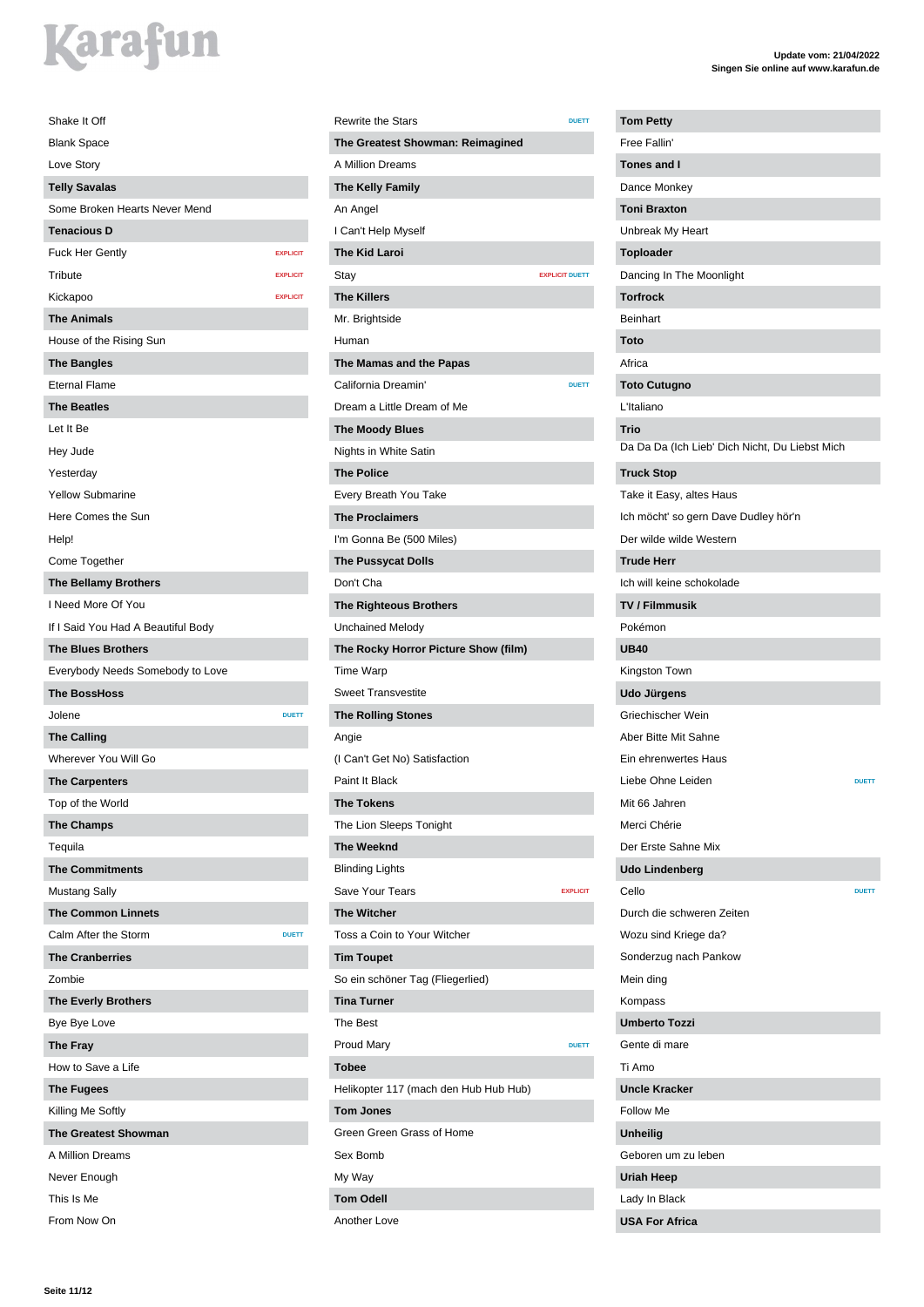| Shake It Off                          |                 |
|---------------------------------------|-----------------|
| <b>Blank Space</b>                    |                 |
| Love Story                            |                 |
| <b>Telly Savalas</b>                  |                 |
| Some Broken Hearts Never Mend         |                 |
| <b>Tenacious D</b>                    |                 |
| Fuck Her Gently                       | <b>EXPLICIT</b> |
| Tribute                               | <b>EXPLICIT</b> |
| Kickapoo                              | <b>EXPLICIT</b> |
| <b>The Animals</b>                    |                 |
| House of the Rising Sun               |                 |
| <b>The Bangles</b>                    |                 |
| <b>Eternal Flame</b>                  |                 |
| <b>The Beatles</b>                    |                 |
| Let It Be                             |                 |
| Hey Jude                              |                 |
| Yesterday                             |                 |
| <b>Yellow Submarine</b>               |                 |
| Here Comes the Sun                    |                 |
| Help!                                 |                 |
| Come Together                         |                 |
| <b>The Bellamy Brothers</b>           |                 |
| I Need More Of You                    |                 |
| If I Said You Had A Beautiful Body    |                 |
| <b>The Blues Brothers</b>             |                 |
| Everybody Needs Somebody to Love      |                 |
| <b>The BossHoss</b>                   |                 |
| Jolene                                | <b>DUETT</b>    |
| <b>The Calling</b>                    |                 |
| Wherever You Will Go                  |                 |
| <b>The Carpenters</b>                 |                 |
| Top of the World                      |                 |
| <b>The Champs</b>                     |                 |
| Tequila                               |                 |
| <b>The Commitments</b>                |                 |
| <b>Mustang Sally</b>                  |                 |
| <b>The Common Linnets</b>             |                 |
| Calm After the Storm                  | <b>DUETT</b>    |
| <b>The Cranberries</b>                |                 |
| Zombie                                |                 |
|                                       |                 |
| <b>The Everly Brothers</b>            |                 |
| Bye Bye Love                          |                 |
| <b>The Fray</b><br>How to Save a Life |                 |
|                                       |                 |
| <b>The Fugees</b>                     |                 |
| Killing Me Softly                     |                 |
| <b>The Greatest Showman</b>           |                 |
| A Million Dreams                      |                 |
| Never Enough                          |                 |
| This Is Me                            |                 |
| From Now On                           |                 |

| <b>Rewrite the Stars</b>              | <b>DUETT</b>          |
|---------------------------------------|-----------------------|
| The Greatest Showman: Reimagined      |                       |
| A Million Dreams                      |                       |
| <b>The Kelly Family</b>               |                       |
| An Angel                              |                       |
| I Can't Help Myself                   |                       |
| <b>The Kid Laroi</b>                  |                       |
| Stay                                  | <b>EXPLICIT DUETT</b> |
| <b>The Killers</b>                    |                       |
| Mr. Brightside                        |                       |
| Human                                 |                       |
| The Mamas and the Papas               |                       |
| California Dreamin'                   | <b>DUETT</b>          |
| Dream a Little Dream of Me            |                       |
| <b>The Moody Blues</b>                |                       |
| Nights in White Satin                 |                       |
| <b>The Police</b>                     |                       |
| Every Breath You Take                 |                       |
| <b>The Proclaimers</b>                |                       |
| I'm Gonna Be (500 Miles)              |                       |
| <b>The Pussycat Dolls</b>             |                       |
| Don't Cha                             |                       |
| <b>The Righteous Brothers</b>         |                       |
| <b>Unchained Melody</b>               |                       |
| The Rocky Horror Picture Show (film)  |                       |
| Time Warp                             |                       |
| <b>Sweet Transvestite</b>             |                       |
| <b>The Rolling Stones</b>             |                       |
| Angie                                 |                       |
| (I Can't Get No) Satisfaction         |                       |
| Paint It Black                        |                       |
| The Tokens                            |                       |
| The Lion Sleeps Tonight               |                       |
| <b>The Weeknd</b>                     |                       |
| <b>Blinding Lights</b>                |                       |
| Save Your Tears                       | <b>EXPLICIT</b>       |
| <b>The Witcher</b>                    |                       |
| Toss a Coin to Your Witcher           |                       |
| <b>Tim Toupet</b>                     |                       |
| So ein schöner Tag (Fliegerlied)      |                       |
| <b>Tina Turner</b>                    |                       |
| The Best                              |                       |
| <b>Proud Mary</b>                     | <b>DUETT</b>          |
| <b>Tobee</b>                          |                       |
| Helikopter 117 (mach den Hub Hub Hub) |                       |
| <b>Tom Jones</b>                      |                       |
| Green Green Grass of Home             |                       |
| Sex Bomb                              |                       |
| My Way                                |                       |
| <b>Tom Odell</b>                      |                       |
| Another Love                          |                       |

| <b>Tom Petty</b>                               |              |
|------------------------------------------------|--------------|
| Free Fallin'                                   |              |
| <b>Tones and I</b>                             |              |
| Dance Monkey                                   |              |
| <b>Toni Braxton</b>                            |              |
| Unbreak My Heart                               |              |
| <b>Toploader</b>                               |              |
| Dancing In The Moonlight                       |              |
| <b>Torfrock</b>                                |              |
| <b>Beinhart</b>                                |              |
| Toto                                           |              |
| Africa                                         |              |
| <b>Toto Cutugno</b>                            |              |
| L'Italiano                                     |              |
| Trio                                           |              |
| Da Da Da (Ich Lieb' Dich Nicht, Du Liebst Mich |              |
| <b>Truck Stop</b>                              |              |
| Take it Easy, altes Haus                       |              |
| Ich möcht' so gern Dave Dudley hör'n           |              |
| Der wilde wilde Western                        |              |
| <b>Trude Herr</b>                              |              |
| Ich will keine schokolade                      |              |
| TV / Filmmusik                                 |              |
| Pokémon                                        |              |
| <b>UB40</b>                                    |              |
| Kingston Town                                  |              |
| <b>Udo Jürgens</b>                             |              |
| Griechischer Wein                              |              |
| Aber Bitte Mit Sahne                           |              |
| Ein ehrenwertes Haus                           |              |
| Liebe Ohne Leiden                              | <b>DUETT</b> |
| Mit 66 Jahren                                  |              |
| Merci Chérie                                   |              |
| Der Erste Sahne Mix                            |              |
| <b>Udo Lindenberg</b>                          |              |
| Cello                                          | <b>DUETT</b> |
| Durch die schweren Zeiten                      |              |
| Wozu sind Kriege da?                           |              |
| Sonderzug nach Pankow                          |              |
| Mein ding                                      |              |
| Kompass                                        |              |
| <b>Umberto Tozzi</b>                           |              |
|                                                |              |
| Gente di mare<br>Ti Amo                        |              |
|                                                |              |
| <b>Uncle Kracker</b><br><b>Follow Me</b>       |              |
|                                                |              |
| <b>Unheilig</b>                                |              |
| Geboren um zu leben                            |              |
| <b>Uriah Heep</b>                              |              |
| Lady In Black                                  |              |
| <b>USA For Africa</b>                          |              |